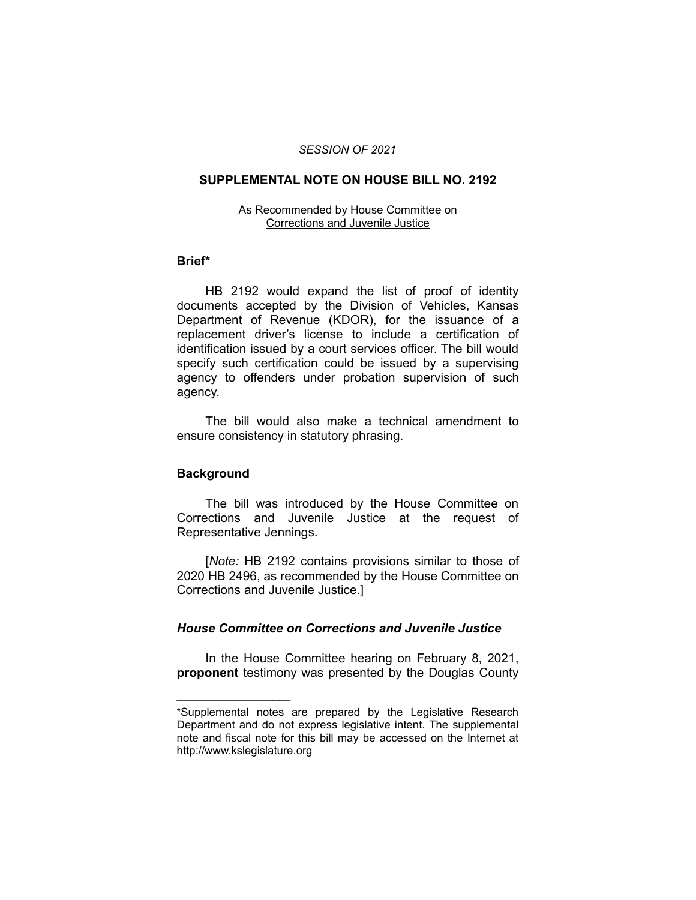### *SESSION OF 2021*

# **SUPPLEMENTAL NOTE ON HOUSE BILL NO. 2192**

#### As Recommended by House Committee on Corrections and Juvenile Justice

### **Brief\***

HB 2192 would expand the list of proof of identity documents accepted by the Division of Vehicles, Kansas Department of Revenue (KDOR), for the issuance of a replacement driver's license to include a certification of identification issued by a court services officer. The bill would specify such certification could be issued by a supervising agency to offenders under probation supervision of such agency.

The bill would also make a technical amendment to ensure consistency in statutory phrasing.

# **Background**

 $\overline{\phantom{a}}$  , where  $\overline{\phantom{a}}$  , where  $\overline{\phantom{a}}$ 

The bill was introduced by the House Committee on Corrections and Juvenile Justice at the request of Representative Jennings.

[*Note:* HB 2192 contains provisions similar to those of 2020 HB 2496, as recommended by the House Committee on Corrections and Juvenile Justice.]

# *House Committee on Corrections and Juvenile Justice*

In the House Committee hearing on February 8, 2021, **proponent** testimony was presented by the Douglas County

<sup>\*</sup>Supplemental notes are prepared by the Legislative Research Department and do not express legislative intent. The supplemental note and fiscal note for this bill may be accessed on the Internet at http://www.kslegislature.org